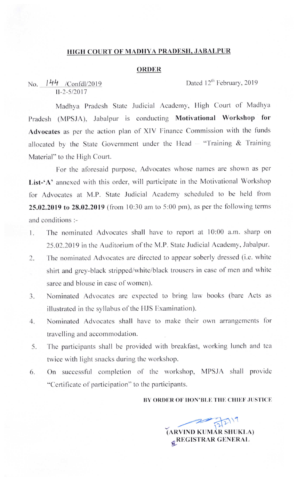## HIGH COURT OF MADHYA PRADESH, JABALPUR

#### **ORDER**

No.  $144$  /Confdl/2019 Dated 12<sup>th</sup> February, 2019 11-2-5/2017

Madhya Pradesh State Judicial Academy, High Court of Madhya Pradesh (MPSJA), Jabalpur is conducting Motivational Workshop for Advocates as per the action plan of XIV Finance Commission with the funds allocated by the State Government under the Head - "Training & Training Material" to the High Court.

For the aforesaid purpose, Advocates whose names are shown as per List-'A' annexed with this order, will participate in the Motivational Workshop for Advocates at M.P. State Judicial Academy scheduled to be held from **25.02.2019 to 28.02.2019** (from 10:30 am to 5:00 pm), as per the following terms and conditions :-

- 1. The nominated Advocates shall have to report at 10:00 a.m. sharp on 25.02.2019 in the Auditorium of the M.P. State Judicial Academy, Jabalpur.
- 2. The nominated Advocates are directed to appear soberly dressed (i.e. white shirt and grey-black stripped/white/black trousers in case of men and white saree and blouse in case of women).
- 3. Nominated Advocates are cxpccted to bring law books (bare Acts as illustrated in the syllabus of the HJS Examination).
- 4. Nominated Advocates shall have to make their own arrangements for travelling and accommodation.
- 5. The participants shall be provided with breakfast, working lunch and tea twice with light snacks during the workshop.
- 6. On successful completion of the workshop, MPSJA shall provide "Certificate of participation" to the participants.

### BY ORDER OF HON'BLE THE CHIEF JUSTICE

 $\widehat{R}$ <sup> $\widehat{R}$  $\widehat{R}$  (ARVIND KUM AR SHUKLA)</sup> gREGISTRAR GENERAL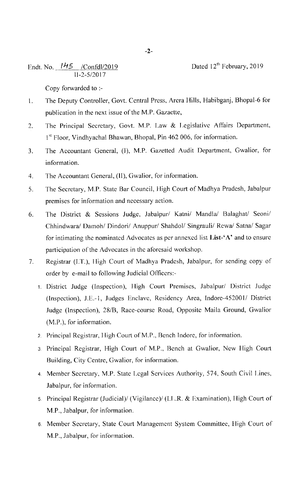Endt. No.  $\frac{145}{\sqrt{C} \text{on} \text{fd}/2019}$  Dated 12<sup>th</sup> February, 2019 I I-2-5/2017

Copy forwardcd to :-

- 1. The Deputy Controller, Govt. Central Press, Arera Hills, Habibganj, Bhopal-6 for publication in the next issue of the M.P. Gazaette,
- 2. The Principal Secretary, Govt. M.P. Law & Legislative Affairs Department,  $1<sup>st</sup>$  Floor, Vindhyachal Bhawan, Bhopal, Pin 462 006, for information.
- 3. The Accountant General, (I), M.P. Gazetted Audit Department, Gwalior, for information.
- 4. The Accountant General, (II), Gwalior, for information.
- 5. The Secretary, M.P. State Bar Council, High Court of Madhya Pradesh, Jabalpur premises for information and necessary action.
- 6. The I)istrict & Sessions Judge, Jabalpur/ Katni/ Mandla/ Balaghat/ Seoni/ Chhindwara/ Damoh/ Dindori/ Anuppur/ Shahdol/ Singrauli/ Rewa/ Satna/ Sagar for intimating the nominated Advocates as per annexed list List- $\Delta'$  and to ensure participation of the Advocates in the aforesaid workshop.
- 7. Registrar (I.T.), High Court of Madhya Pradesh, Jabalpur, for sending copy of order by e-mail to following Judicial Officers:-
	- 1. District Judge (Inspection), High Court Premises, Jabalpur/ District Judge (Inspection), J.E.-1, Judges Enclave, Residcncy Area, Indore-45200l/ District Judge (Inspection), 28/8, Race-course Road, Opposite Maila Ground, Gwalior (M.P.), for information.
	- 2 Principal Registrar, IIigh Court of M.P.. Bench lndorc, for information.
	- 3. Principal Registrar, High Court of M.P., Bench at Gwalior, New High Court Building, City Ccntrc, Gwalior, for information.
	- 4. Member Secretary, M.P. State Legal Services Authority, 574, South Civil Lines, Jabalpur, for information.
	- 5. Principal Registrar (Judicial)/ (Vigilance)/ (I.L.R. & Examination), High Court of M.P., Jabalpur, for information.
	- 6. Member Secretary, State Court Management System Committee, High Court of M.P., Jabalpur, for information.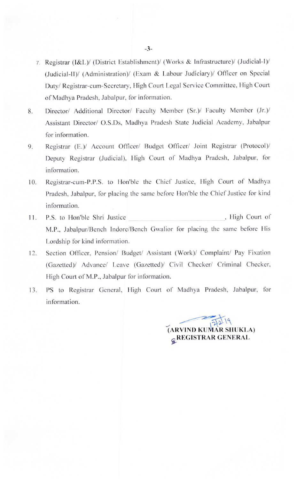- 7 Registrar (I&L)/ (District Establishment)/ (Works & Infrastructure)/ (Judicial-I)/ (Judicial~II)/ (Administration)/ (Exam & Labour Judiciary)/ Officer on Special Duty/ Registrar-cum-Secretary, High Court Legal Service Committee, High Court of Madhya Pradesh, Jabalpur, for information.
- 8. Director/ Additional Director/ Faculty Member (Sr.)/ Faculty Member (Jr.)/ Assistant Director/ O.S.Ds, Madhya Pradesh State Judicial Academy, Jabalpur for information.
- 9. Registrar (E.)/ Account Officer/ Budget Officer/ Joint Registrar (Protocol)/ Deputy Registrar (Judicial), IIigh Court of Madhya Pradesh, Jabalpur, for information.
- 10. Registrar-cum-P.P.S. to Hon'ble the Chief Justice, High Court of Madhya Pradesh, Jabalpur, for placing the same before Hon'ble the Chief Justice for kind information.
- 11. P.S. to Hon'ble Shri Justice , High Court of M.P., Jabalpur/Bench Indore/Bench Gwalior for placing the same before His Lordship for kind information.
- 12. Section Officer, Pension/ Budget/ Assistant (Work)/ Complaint/ Pay Fixation (Gazetted)/ Advance/ Leave (Gazetted)/ Civil Checker/ Criminal Checker, High Court of M.P., Jabalpur for information.
- 13. PS to Registrar General, High Court of Madhya Pradesh, Jabalpur, for information.

 $\mathcal{L}$ (ARVIND KUMAR SHUKLA)  $22$ **&REGISTRAR GENERAL**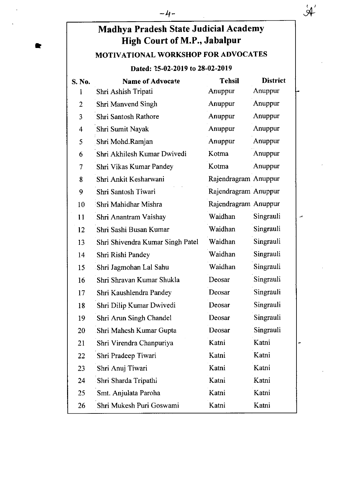# Madhya Pradesh State Judicial Academy High Court of M.P., Jabalpur

 $-4-$ 

## MOTIVATI0NAL WORKSHOP FOR ADVOCATES

### Dated: 25-02-2019 to 28-02-2019

| S. No.         | <b>Name of Advocate</b>          | <b>Tehsil</b>        | <b>District</b> |
|----------------|----------------------------------|----------------------|-----------------|
| $\mathbf{1}$   | Shri Ashish Tripati              | Anuppur              | Anuppur         |
| $\overline{2}$ | <b>Shri Manvend Singh</b>        | Anuppur              | Anuppur         |
| 3              | <b>Shri Santosh Rathore</b>      | Anuppur              | Anuppur         |
| 4              | Shri Sumit Nayak                 | Anuppur              | Anuppur         |
| 5              | Shri Mohd.Ramjan                 | Anuppur              | Anuppur         |
| 6              | Shri Akhilesh Kumar Dwivedi      | Kotma                | Anuppur         |
| 7              | Shri Vikas Kumar Pandey          | Kotma                | Anuppur         |
| 8              | Shri Ankit Kesharwani            | Rajendragram Anuppur |                 |
| 9              | Shri Santosh Tiwari              | Rajendragram Anuppur |                 |
| 10             | Shri Mahidhar Mishra             | Rajendragram Anuppur |                 |
| 11             | Shri Anantram Vaishay            | Waidhan              | Singrauli       |
| 12             | Shri Sashi Busan Kumar           | Waidhan              | Singrauli       |
| 13             | Shri Shivendra Kumar Singh Patel | Waidhan              | Singrauli       |
| 14             | Shri Rishi Pandey                | Waidhan              | Singrauli       |
| 15             | Shri Jagmohan Lal Sahu           | Waidhan              | Singrauli       |
| 16             | Shri Shravan Kumar Shukla        | Deosar               | Singrauli       |
| 17             | Shri Kaushlendra Pandey          | Deosar               | Singrauli       |
| 18             | Shri Dilip Kumar Dwivedi         | Deosar               | Singrauli       |
| 19             | Shri Arun Singh Chandel          | Deosar               | Singrauli       |
| 20             | Shri Mahesh Kumar Gupta          | Deosar               | Singrauli       |
| 21             | Shri Virendra Chanpuriya         | Katni                | Katni           |
| 22             | Shri Pradeep Tiwari              | Katni                | Katni           |
| 23             | Shri Anuj Tiwari                 | Katni                | Katni           |
| 24             | Shri Sharda Tripathi             | Katni                | Katni           |
| 25             | Smt. Anjulata Paroha             | Katni                | Katni           |
| 26             | Shri Mukesh Puri Goswami         | Katni                | Katni           |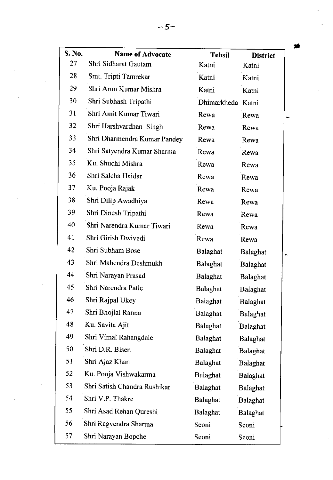| S. No. | <b>Name of Advocate</b>      | <b>Tehsil</b>     | <b>District</b> |    |
|--------|------------------------------|-------------------|-----------------|----|
| 27     | Shri Sidharat Gautam         | Katni             | Katni           |    |
| 28     | Smt. Tripti Tamrekar         | Katni             | Katni           |    |
| 29     | Shri Arun Kumar Mishra       | Katni             | Katni           |    |
| 30     | Shri Subhash Tripathi        | Dhimarkheda Katni |                 |    |
| 31     | Shri Amit Kumar Tiwari       | Rewa              | Rewa            |    |
| 32     | Shri Harshvardhan Singh      | Rewa              | Rewa            |    |
| 33     | Shri Dharmendra Kumar Pandey | Rewa              | Rewa            |    |
| 34     | Shri Satyendra Kumar Sharma  | Rewa              | Rewa            |    |
| 35     | Ku. Shuchi Mishra            | Rewa              | Rewa            |    |
| 36     | Shri Saleha Haidar           | Rewa              | Rewa            |    |
| 37     | Ku. Pooja Rajak              | Rewa              | Rewa            |    |
| 38     | Shri Dilip Awadhiya          | Rewa              | Rewa            |    |
| 39     | Shri Dinesh Tripathi         | Rewa              | Rewa            |    |
| 40     | Shri Narendra Kumar Tiwari   | Rewa              | Rewa            |    |
| 41     | Shri Girish Dwivedi          | Rewa              | Rewa            |    |
| 42     | Shri Subham Bose             | Balaghat          | Balaghat        | ۰. |
| 43     | Shri Mahendra Deshmukh       | Balaghat          | Balaghat        |    |
| 44     | Shri Narayan Prasad          | <b>Balaghat</b>   | Balaghat        |    |
| 45     | Shri Narendra Patle          | <b>Balaghat</b>   | Balaghat        |    |
| 46     | Shri Rajpal Ukey             | <b>Balaghat</b>   | Balaghat        |    |
| 47     | Shri Bhojlal Ranna           | <b>Balaghat</b>   | Balaghat        |    |
| 48     | Ku. Savita Ajit              | Balaghat          | Balaghat        |    |
| 49     | Shri Vimal Rahangdale        | <b>Balaghat</b>   | <b>Balaghat</b> |    |
| 50     | Shri D.R. Bisen              | Balaghat          | <b>Balaghat</b> |    |
| 51     | Shri Ajaz Khan               | Balaghat          | Balaghat        |    |
| 52     | Ku. Pooja Vishwakarma        | <b>Balaghat</b>   | Balaghat        |    |
| 53     | Shri Satish Chandra Rushikar | Balaghat          | Balaghat        |    |
| 54     | Shri V.P. Thakre             | Balaghat          | <b>Balaghat</b> |    |
| 55     | Shri Asad Rehan Qureshi      | Balaghat          | Balaghat        |    |
| 56     | Shri Ragvendra Sharma        | Seoni             | Seoni           |    |
| 57     | Shri Narayan Bopche          | Seoni             | Seoni           |    |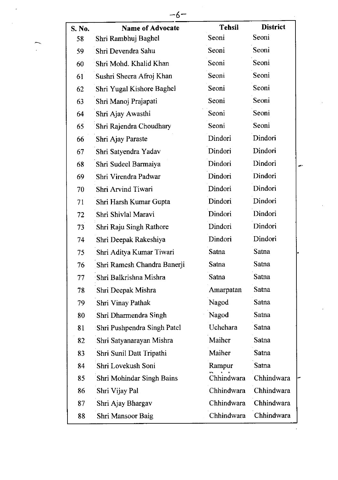| S. No. | <b>Name of Advocate</b>          | <b>Tehsil</b>  | <b>District</b> |
|--------|----------------------------------|----------------|-----------------|
| 58     | Shri Rambhuj Baghel              | Seoni          | Seoni           |
| 59     | Shri Devendra Sahu               | Seoni          | Seoni           |
| 60     | Shri Mohd. Khalid Khan           | Seoni          | Seoni           |
| 61     | Sushri Sheera Afroj Khan         | Seoni          | Seoni           |
| 62     | Shri Yugal Kishore Baghel        | Seoni          | Seoni           |
| 63     | Shri Manoj Prajapati             | Seoni          | Seoni           |
| 64     | Shri Ajay Awasthi                | Seoni          | Seoni           |
| 65     | Shri Rajendra Choudhary          | Seoni          | Seoni           |
| 66     | Shri Ajay Paraste                | Dindori        | Dindori         |
| 67     | Shri Satyendra Yadav             | Dindori        | Dindori         |
| 68     | Shri Sudeel Barmaiya             | Dindori        | Dindori         |
| 69     | Shri Virendra Padwar             | <b>Dindori</b> | Dindori         |
| 70     | Shri Arvind Tiwari               | Dindori        | Dindori         |
| 71     | Shri Harsh Kumar Gupta           | Dindori        | Dindori         |
| 72     | Shri Shivlal Maravi              | Dindori        | Dindori         |
| 73     | Shri Raju Singh Rathore          | Dindori        | Dindori         |
| 74     | Shri Deepak Rakeshiya            | Dindori        | Dindori         |
| 75     | Shri Aditya Kumar Tiwari         | Satna          | Satna           |
| 76     | Shri Ramesh Chandra Banerji      | Satna          | Satna           |
| 77     | Shri Balkrishna Mishra           | Satna          | Satna           |
| 78     | Shri Deepak Mishra               | Amarpatan      | Satna           |
| 79     | Shri Vinay Pathak                | Nagod          | Satna           |
| 80     | Shri Dharmendra Singh            | Nagod          | Satna           |
| 81     | Shri Pushpendra Singh Patel      | Uchehara       | Satna           |
| 82     | Shri Satyanarayan Mishra         | Maiher         | Satna           |
| 83     | Shri Sunil Datt Tripathi         | Maiher         | Satna           |
| 84     | Shri Lovekush Soni               | Rampur         | Satna           |
| 85     | <b>Shri Mohindar Singh Bains</b> | Chhindwara     | Chhindwara      |
| 86     | Shri Vijay Pal                   | Chhindwara     | Chhindwara      |
| 87     | Shri Ajay Bhargav                | Chhindwara     | Chhindwara      |
| 88     | Shri Mansoor Baig                | Chhindwara     | Chhindwara      |
|        |                                  |                |                 |

 $-6-$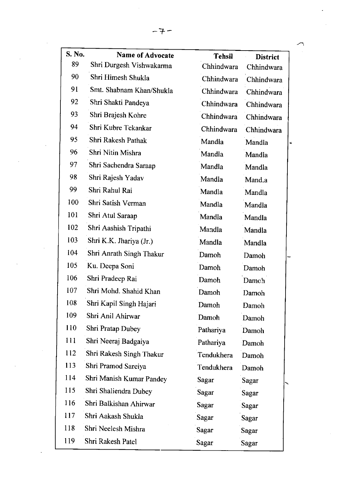| S. No. | <b>Name of Advocate</b>  | <b>Tehsil</b> | <b>District</b> |
|--------|--------------------------|---------------|-----------------|
| 89     | Shri Durgesh Vishwakarma | Chhindwara    | Chhindwara      |
| 90     | Shri Himesh Shukla       | Chhindwara    | Chhindwara      |
| 91     | Smt. Shabnam Khan/Shukla | Chhindwara    | Chhindwara      |
| 92     | Shri Shakti Pandeya      | Chhindwara    | Chhindwara      |
| 93     | Shri Brajesh Kohre       | Chhindwara    | Chhindwara      |
| 94     | Shri Kubre Tekankar      | Chhindwara    | Chhindwara      |
| 95     | Shri Rakesh Pathak       | Mandla        | Mandla          |
| 96     | Shri Nitin Mishra        | Mandla        | Mandla          |
| 97     | Shri Sachendra Saraap    | Mandla        | Mandla          |
| 98     | Shri Rajesh Yadav        | Mandla        | Mand.a          |
| 99     | Shri Rahul Rai           | Mandla        | Mandla          |
| 100    | Shri Satish Verman       | Mandla        | Mandla          |
| 101    | Shri Atul Saraap         | Mandla        | Mandla          |
| 102    | Shri Aashish Tripathi    | Mandla        | Mandla          |
| 103    | Shri K.K. Jhariya (Jr.)  | Mandla        | Mandla          |
| 104    | Shri Anrath Singh Thakur | Damoh         | Damoh           |
| 105    | Ku. Deepa Soni           | Damoh         | Damoh           |
| 106    | Shri Pradeep Rai         | Damoh         | Damoh           |
| 107    | Shri Mohd. Shahid Khan   | Damoh         | Damoh           |
| 108    | Shri Kapil Singh Hajari  | Damoh         | Damoh           |
| 109    | Shri Anil Ahirwar        | Damoh         | Damoh           |
| 110    | Shri Pratap Dubey        | Pathariya     | Damoh           |
| 111    | Shri Neeraj Badgaiya     | Pathariya     | Damoh           |
| 112    | Shri Rakesh Singh Thakur | Tendukhera    | Damoh           |
| 113    | Shri Pramod Sareiya      | Tendukhera    | Damoh           |
| 114    | Shri Manish Kumar Pandey | Sagar         | Sagar           |
| 115    | Shri Shaliendra Dubey    | Sagar         | Sagar           |
| 116    | Shri Balkishan Ahirwar   | Sagar         | Sagar           |
| 117    | Shri Aakash Shukla       | Sagar         | Sagar           |
| 118    | Shri Neelesh Mishra      | Sagar         | Sagar           |
| 119    | Shri Rakesh Patel        | Sagar         | Sagar           |